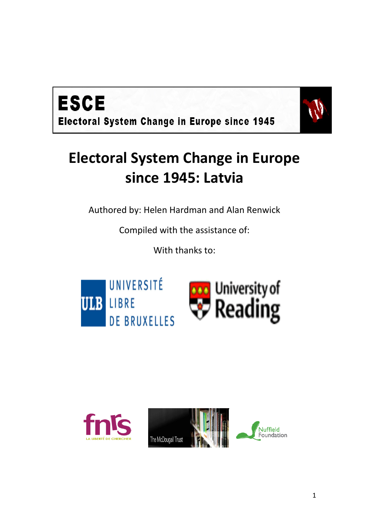



## **Electoral System Change in Europe since 1945: Latvia**

Authored by: Helen Hardman and Alan Renwick

Compiled with the assistance of:

With thanks to:



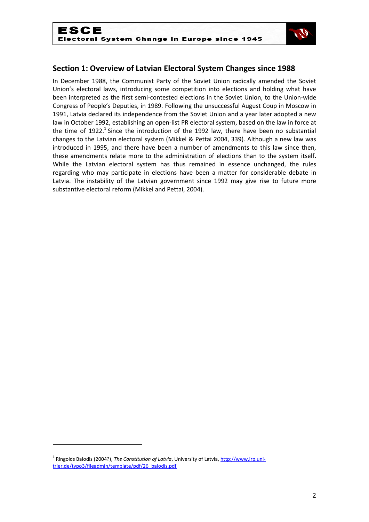

## **Section 1: Overview of Latvian Electoral System Changes since 1988**

In December 1988, the Communist Party of the Soviet Union radically amended the Soviet Union's electoral laws, introducing some competition into elections and holding what have been interpreted as the first semi-contested elections in the Soviet Union, to the Union-wide Congress of People's Deputies, in 1989. Following the unsuccessful August Coup in Moscow in 1991, Latvia declared its independence from the Soviet Union and a year later adopted a new law in October 1992, establishing an open-list PR electoral system, based on the law in force at the time of 1922.<sup>1</sup> Since the introduction of the 1992 law, there have been no substantial changes to the Latvian electoral system (Mikkel & Pettai 2004, 339). Although a new law was introduced in 1995, and there have been a number of amendments to this law since then, these amendments relate more to the administration of elections than to the system itself. While the Latvian electoral system has thus remained in essence unchanged, the rules regarding who may participate in elections have been a matter for considerable debate in Latvia. The instability of the Latvian government since 1992 may give rise to future more substantive electoral reform (Mikkel and Pettai, 2004).

<sup>&</sup>lt;sup>1</sup> Ringolds Balodis (2004?), *The Constitution of Latvia*, University of Latvia, <u>http://www.irp.uni-</u> [trier.de/typo3/fileadmin/template/pdf/26\\_balodis.pdf](http://www.irp.uni-trier.de/typo3/fileadmin/template/pdf/26_balodis.pdf)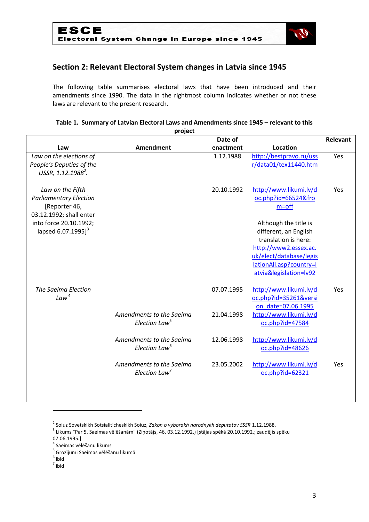

## **Section 2: Relevant Electoral System changes in Latvia since 1945**

The following table summarises electoral laws that have been introduced and their amendments since 1990. The data in the rightmost column indicates whether or not these laws are relevant to the present research.

| project                        |                           |            |                         |     |  |
|--------------------------------|---------------------------|------------|-------------------------|-----|--|
|                                | Date of                   |            |                         |     |  |
| Law                            | <b>Amendment</b>          | enactment  | Location                |     |  |
| Law on the elections of        |                           | 1.12.1988  | http://bestpravo.ru/uss | Yes |  |
| People's Deputies of the       |                           |            | r/data01/tex11440.htm   |     |  |
| USSR, 1.12.1988 <sup>2</sup> . |                           |            |                         |     |  |
|                                |                           |            |                         |     |  |
| Law on the Fifth               |                           | 20.10.1992 | http://www.likumi.lv/d  | Yes |  |
| <b>Parliamentary Election</b>  |                           |            | oc.php?id=66524&fro     |     |  |
| [Reporter 46,                  |                           |            | $m=$ off                |     |  |
| 03.12.1992; shall enter        |                           |            |                         |     |  |
| into force 20.10.1992;         |                           |            | Although the title is   |     |  |
| lapsed 6.07.1995] <sup>3</sup> |                           |            | different, an English   |     |  |
|                                |                           |            | translation is here:    |     |  |
|                                |                           |            | http://www2.essex.ac.   |     |  |
|                                |                           |            | uk/elect/database/legis |     |  |
|                                |                           |            | lationAll.asp?country=l |     |  |
|                                |                           |            | atvia&legislation=Iv92  |     |  |
| The Saeima Election            |                           | 07.07.1995 | http://www.likumi.lv/d  | Yes |  |
| Law <sup>4</sup>               |                           |            | oc.php?id=35261&versi   |     |  |
|                                |                           |            | on date=07.06.1995      |     |  |
|                                | Amendments to the Saeima  | 21.04.1998 | http://www.likumi.lv/d  |     |  |
|                                | Election Law <sup>5</sup> |            | oc.php?id=47584         |     |  |
|                                |                           |            |                         |     |  |
|                                | Amendments to the Saeima  | 12.06.1998 | http://www.likumi.lv/d  |     |  |
|                                | Election Law <sup>6</sup> |            | oc.php?id=48626         |     |  |
|                                |                           |            |                         |     |  |
|                                | Amendments to the Saeima  | 23.05.2002 | http://www.likumi.lv/d  | Yes |  |
|                                | Election Law <sup>7</sup> |            | oc.php?id=62321         |     |  |
|                                |                           |            |                         |     |  |
|                                |                           |            |                         |     |  |

#### **Table 1. Summary of Latvian Electoral Laws and Amendments since 1945 – relevant to this**

2 Soiuz Sovetskikh Sotsialiticheskikh Soiuz, *Zakon o vyborakh narodnykh deputatov SSSR* 1.12.1988.

 $^3$  Likums "Par 5. Saeimas vēlēšanām" (Ziņotājs, 46, 03.12.1992.) [stājas spēkā 20.10.1992.; zaudējis spēku

07.06.1995.]

4 Saeimas vēlēšanu likums

<sup>5</sup> Grozījumi Saeimas vēlēšanu likumā

 $<sup>6</sup>$  ibid</sup>

7 ibid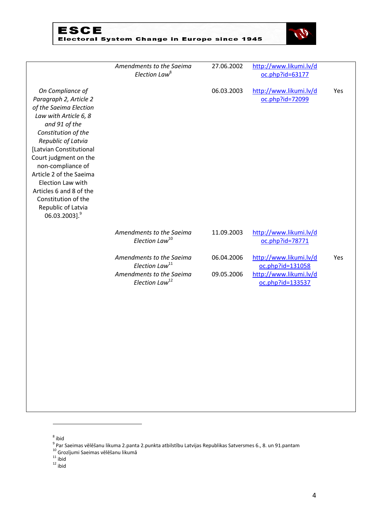# ESCE<br>Electoral System Change in Europe since 1945

| Amendments to the Saeima<br>Election Law <sup>8</sup>                                                            | 27.06.2002               | http://www.likumi.lv/d<br>oc.php?id=63177                                                |     |
|------------------------------------------------------------------------------------------------------------------|--------------------------|------------------------------------------------------------------------------------------|-----|
|                                                                                                                  | 06.03.2003               | http://www.likumi.lv/d<br>oc.php?id=72099                                                | Yes |
| Amendments to the Saeima<br>Election Law <sup>10</sup>                                                           | 11.09.2003               | http://www.likumi.lv/d<br>oc.php?id=78771                                                |     |
| Amendments to the Saeima<br>Election Law <sup>11</sup><br>Amendments to the Saeima<br>Election Law <sup>12</sup> | 06.04.2006<br>09.05.2006 | http://www.likumi.lv/d<br>oc.php?id=131058<br>http://www.likumi.lv/d<br>oc.php?id=133537 | Yes |
|                                                                                                                  |                          |                                                                                          |     |

.

<sup>8</sup> ibid<br><sup>9</sup> Par Saeimas vēlēšanu likuma 2.panta 2.punkta atbilstību Latvijas Republikas Satversmes 6., 8. un 91.pantam

<sup>10</sup> Grozījumi Saeimas vēlēšanu likumā

 $11$  ibid

 $12$  ibid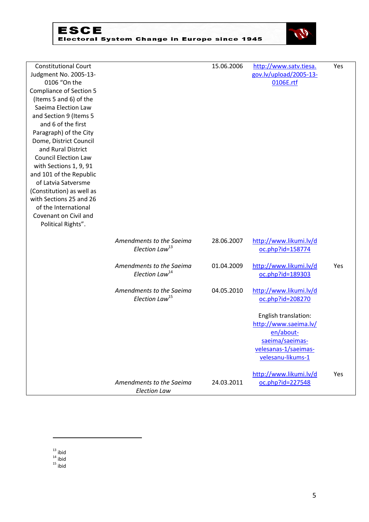



| <b>Constitutional Court</b>    |                            | 15.06.2006 | http://www.satv.tiesa. | Yes |
|--------------------------------|----------------------------|------------|------------------------|-----|
| Judgment No. 2005-13-          |                            |            | gov.lv/upload/2005-13- |     |
| 0106 "On the                   |                            |            | 0106E.rtf              |     |
| <b>Compliance of Section 5</b> |                            |            |                        |     |
| (Items 5 and 6) of the         |                            |            |                        |     |
| Saeima Election Law            |                            |            |                        |     |
| and Section 9 (Items 5         |                            |            |                        |     |
| and 6 of the first             |                            |            |                        |     |
| Paragraph) of the City         |                            |            |                        |     |
| Dome, District Council         |                            |            |                        |     |
| and Rural District             |                            |            |                        |     |
| <b>Council Election Law</b>    |                            |            |                        |     |
| with Sections 1, 9, 91         |                            |            |                        |     |
| and 101 of the Republic        |                            |            |                        |     |
| of Latvia Satversme            |                            |            |                        |     |
| (Constitution) as well as      |                            |            |                        |     |
| with Sections 25 and 26        |                            |            |                        |     |
| of the International           |                            |            |                        |     |
| Covenant on Civil and          |                            |            |                        |     |
| Political Rights".             |                            |            |                        |     |
|                                |                            |            |                        |     |
|                                | Amendments to the Saeima   | 28.06.2007 | http://www.likumi.lv/d |     |
|                                | Election Law <sup>13</sup> |            | oc.php?id=158774       |     |
|                                | Amendments to the Saeima   | 01.04.2009 | http://www.likumi.lv/d | Yes |
|                                | Election Law <sup>14</sup> |            | oc.php?id=189303       |     |
|                                |                            |            |                        |     |
|                                | Amendments to the Saeima   | 04.05.2010 | http://www.likumi.lv/d |     |
|                                | Election Law <sup>15</sup> |            | oc.php?id=208270       |     |
|                                |                            |            | English translation:   |     |
|                                |                            |            | http://www.saeima.lv/  |     |
|                                |                            |            | en/about-              |     |
|                                |                            |            | saeima/saeimas-        |     |
|                                |                            |            | velesanas-1/saeimas-   |     |
|                                |                            |            | velesanu-likums-1      |     |
|                                |                            |            |                        |     |
|                                |                            |            | http://www.likumi.lv/d | Yes |
|                                | Amendments to the Saeima   | 24.03.2011 | oc.php?id=227548       |     |
|                                | <b>Election Law</b>        |            |                        |     |

 $13$  ibid

 $14$  ibid

 $15$  ibid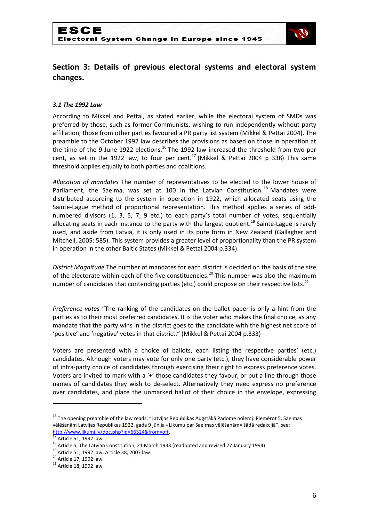

## **Section 3: Details of previous electoral systems and electoral system changes.**

#### *3.1 The 1992 Law*

According to Mikkel and Pettai, as stated earlier, while the electoral system of SMDs was preferred by those, such as former Communists, wishing to run independently without party affiliation, those from other parties favoured a PR party list system (Mikkel & Pettai 2004). The preamble to the October 1992 law describes the provisions as based on those in operation at the time of the 9 June 1922 elections.<sup>16</sup> The 1992 law increased the threshold from two per cent, as set in the 1922 law, to four per cent.<sup>17</sup> (Mikkel & Pettai 2004 p 338) This same threshold applies equally to both parties and coalitions.

*Allocation of mandates* The number of representatives to be elected to the lower house of Parliament, the Saeima, was set at 100 in the Latvian Constitution.<sup>18</sup> Mandates were distributed according to the system in operation in 1922, which allocated seats using the Sainte-Laguë method of proportional representation. This method applies a series of oddnumbered divisors (1, 3, 5, 7, 9 etc.) to each party's total number of votes, sequentially allocating seats in each instance to the party with the largest quotient.<sup>19</sup> Sainte-Laguë is rarely used, and aside from Latvia, it is only used in its pure form in New Zealand (Gallagher and Mitchell, 2005: 585). This system provides a greater level of proportionality than the PR system in operation in the other Baltic States (Mikkel & Pettai 2004 p.334).

*District Magnitude* The number of mandates for each district is decided on the basis of the size of the electorate within each of the five constituencies.<sup>20</sup> This number was also the maximum number of candidates that contending parties (etc.) could propose on their respective lists.<sup>21</sup>

*Preference votes* "The ranking of the candidates on the ballot paper is only a hint from the parties as to their most preferred candidates. It is the voter who makes the final choice, as any mandate that the party wins in the district goes to the candidate with the highest net score of 'positive' and 'negative' votes in that district." (Mikkel & Pettai 2004 p.333)

Voters are presented with a choice of ballots, each listing the respective parties' (etc.) candidates. Although voters may vote for only one party (etc.), they have considerable power of intra-party choice of candidates through exercising their right to express preference votes. Voters are invited to mark with a '+' those candidates they favour, or put a line through those names of candidates they wish to de-select. Alternatively they need express no preference over candidates, and place the unmarked ballot of their choice in the envelope, expressing

<sup>&</sup>lt;sup>16</sup> The opening preamble of the law reads: "Latvijas Republikas Augstākā Padome nolemj: Piemērot 5. Saeimas vēlēšanām Latvijas Republikas 1922. gada 9 jūnija «Likumu par Saeimas vēlēšanām» šādā redakcijā", see: [http://www.likumi.lv/doc.php?id=66524&from=off.](http://www.likumi.lv/doc.php?id=66524&from=off)

Article 51, 1992 law

<sup>&</sup>lt;sup>18</sup> Article 5, The Latvian Constitution, 21 March 1933 (readopted and revised 27 January 1994)

 $19$  Article 51, 1992 law; Article 38, 2007 law.

 $20$  Article 17, 1992 law

 $21$  Article 18, 1992 law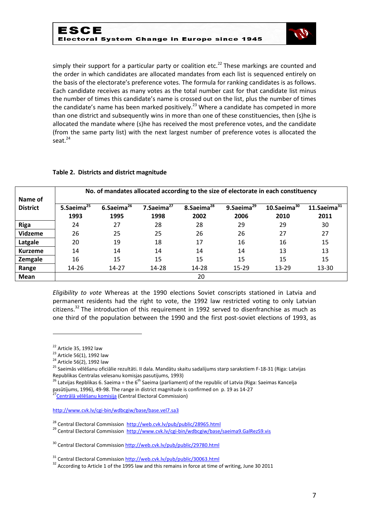

simply their support for a particular party or coalition etc.<sup>22</sup> These markings are counted and the order in which candidates are allocated mandates from each list is sequenced entirely on the basis of the electorate's preference votes. The formula for ranking candidates is as follows. Each candidate receives as many votes as the total number cast for that candidate list minus the number of times this candidate's name is crossed out on the list, plus the number of times the candidate's name has been marked positively.<sup>23</sup> Where a candidate has competed in more than one district and subsequently wins in more than one of these constituencies, then (s)he is allocated the mandate where (s)he has received the most preference votes, and the candidate (from the same party list) with the next largest number of preference votes is allocated the seat. $24$ 

#### **Table 2. Districts and district magnitude**

| Name of<br><b>District</b> | No. of mandates allocated according to the size of electorate in each constituency |                          |                          |                          |                          |                           |                           |
|----------------------------|------------------------------------------------------------------------------------|--------------------------|--------------------------|--------------------------|--------------------------|---------------------------|---------------------------|
|                            | 5.Saeima <sup>25</sup><br>1993                                                     | 6.Saeima $^{26}$<br>1995 | 7.Saeima $^{27}$<br>1998 | 8.Saeima $^{28}$<br>2002 | 9.Saeima $^{29}$<br>2006 | $10.5$ aeima $30$<br>2010 | $11.$ Saeima $31$<br>2011 |
| <b>Riga</b>                | 24                                                                                 | 27                       | 28                       | 28                       | 29                       | 29                        | 30                        |
| Vidzeme                    | 26                                                                                 | 25                       | 25                       | 26                       | 26                       | 27                        | 27                        |
| Latgale                    | 20                                                                                 | 19                       | 18                       | 17                       | 16                       | 16                        | 15                        |
| <b>Kurzeme</b>             | 14                                                                                 | 14                       | 14                       | 14                       | 14                       | 13                        | 13                        |
| Zemgale                    | 16                                                                                 | 15                       | 15                       | 15                       | 15                       | 15                        | 15                        |
| Range                      | $14 - 26$                                                                          | 14-27                    | 14-28                    | 14-28                    | $15 - 29$                | 13-29                     | 13-30                     |
| <b>Mean</b>                |                                                                                    |                          |                          | 20                       |                          |                           |                           |

*Eligibility to vote* Whereas at the 1990 elections Soviet conscripts stationed in Latvia and permanent residents had the right to vote, the 1992 law restricted voting to only Latvian citizens.<sup>32</sup> The introduction of this requirement in 1992 served to disenfranchise as much as one third of the population between the 1990 and the first post-soviet elections of 1993, as

 $22$  Article 35, 1992 law

 $^{23}$  Article 56(1), 1992 law

<sup>&</sup>lt;sup>24</sup> Article 56(2), 1992 law

<sup>&</sup>lt;sup>25</sup> Saeimās vēlēšanu oficiālie rezultāti. II dala. Mandātu skaitu sadalíjums starp sarakstiem F-18-31 (Riga: Latvijas Republikas Centralas velesanu komisjas pasutijums, 1993)

<sup>&</sup>lt;sup>26</sup> Latvijas Repblikas 6. Saeima = the 6<sup>th</sup> Saeima (parliament) of the republic of Latvia (Riga: Saeimas Kancelja pasūtíjums, 1996), 49-98. The range in district magnitude is confirmed on p. 19 as 14-27

[Centrālā vēlēšanu komisija](http://web.cvk.lv/pub/public/27403.html) (Central Electoral Commission)

<http://www.cvk.lv/cgi-bin/wdbcgiw/base/base.vel7.sa3>

<sup>&</sup>lt;sup>28</sup> Central Electoral Commission<http://web.cvk.lv/pub/public/28965.html>

<sup>&</sup>lt;sup>29</sup> Central Electoral Commission<http://www.cvk.lv/cgi-bin/wdbcgiw/base/saeima9.GalRezS9.vis>

<sup>&</sup>lt;sup>30</sup> Central Electoral Commissio[n http://web.cvk.lv/pub/public/29780.html](http://web.cvk.lv/pub/public/29780.html)

<sup>31</sup> Central Electoral Commissio[n http://web.cvk.lv/pub/public/30063.html](http://web.cvk.lv/pub/public/30063.html)

<sup>&</sup>lt;sup>32</sup> According to Article 1 of the 1995 law and this remains in force at time of writing, June 30 2011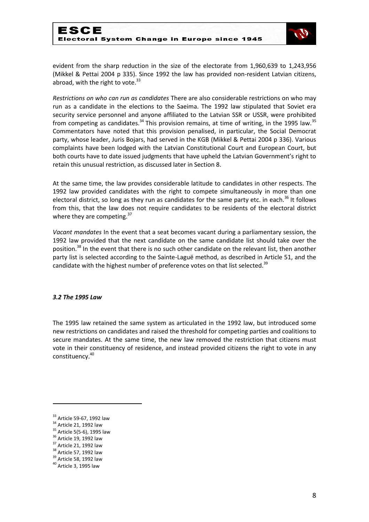

evident from the sharp reduction in the size of the electorate from 1,960,639 to 1,243,956 (Mikkel & Pettai 2004 p 335). Since 1992 the law has provided non-resident Latvian citizens, abroad, with the right to vote. $33$ 

*Restrictions on who can run as candidates* There are also considerable restrictions on who may run as a candidate in the elections to the Saeima. The 1992 law stipulated that Soviet era security service personnel and anyone affiliated to the Latvian SSR or USSR, were prohibited from competing as candidates.<sup>34</sup> This provision remains, at time of writing, in the 1995 law.<sup>35</sup> Commentators have noted that this provision penalised, in particular, the Social Democrat party, whose leader, Juris Bojars, had served in the KGB (Mikkel & Pettai 2004 p 336). Various complaints have been lodged with the Latvian Constitutional Court and European Court, but both courts have to date issued judgments that have upheld the Latvian Government's right to retain this unusual restriction, as discussed later in Section 8.

At the same time, the law provides considerable latitude to candidates in other respects. The 1992 law provided candidates with the right to compete simultaneously in more than one electoral district, so long as they run as candidates for the same party etc. in each.<sup>36</sup> It follows from this, that the law does not require candidates to be residents of the electoral district where they are competing.<sup>37</sup>

*Vacant mandates* In the event that a seat becomes vacant during a parliamentary session, the 1992 law provided that the next candidate on the same candidate list should take over the position.<sup>38</sup> In the event that there is no such other candidate on the relevant list, then another party list is selected according to the Sainte-Laguë method, as described in Article 51, and the candidate with the highest number of preference votes on that list selected.<sup>39</sup>

#### *3.2 The 1995 Law*

The 1995 law retained the same system as articulated in the 1992 law, but introduced some new restrictions on candidates and raised the threshold for competing parties and coalitions to secure mandates. At the same time, the new law removed the restriction that citizens must vote in their constituency of residence, and instead provided citizens the right to vote in any constituency.<sup>40</sup>

<sup>&</sup>lt;sup>33</sup> Article 59-67, 1992 law

<sup>&</sup>lt;sup>34</sup> Article 21, 1992 law

<sup>&</sup>lt;sup>35</sup> Article 5(5-6), 1995 law

<sup>&</sup>lt;sup>36</sup> Article 19, 1992 law

 $37$  Article 21, 1992 law

<sup>38</sup> Article 57, 1992 law

<sup>&</sup>lt;sup>39</sup> Article 58, 1992 law

<sup>40</sup> Article 3, 1995 law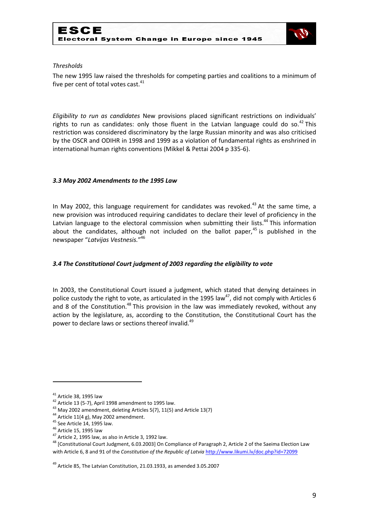

#### *Thresholds*

The new 1995 law raised the thresholds for competing parties and coalitions to a minimum of five per cent of total votes cast. $41$ 

*Eligibility to run as candidates* New provisions placed significant restrictions on individuals' rights to run as candidates: only those fluent in the Latvian language could do so.<sup>42</sup> This restriction was considered discriminatory by the large Russian minority and was also criticised by the OSCR and ODIHR in 1998 and 1999 as a violation of fundamental rights as enshrined in international human rights conventions (Mikkel & Pettai 2004 p 335-6).

#### *3.3 May 2002 Amendments to the 1995 Law*

In May 2002, this language requirement for candidates was revoked.<sup>43</sup> At the same time, a new provision was introduced requiring candidates to declare their level of proficiency in the Latvian language to the electoral commission when submitting their lists.<sup>44</sup> This information about the candidates, although not included on the ballot paper, $45$  is published in the newspaper "*Latvijas V*e*stnesis.*" 46

#### *3.4 The Constitutional Court judgment of 2003 regarding the eligibility to vote*

In 2003, the Constitutional Court issued a judgment, which stated that denying detainees in police custody the right to vote, as articulated in the 1995 law<sup>47</sup>, did not comply with Articles 6 and 8 of the Constitution.<sup>48</sup> This provision in the law was immediately revoked, without any action by the legislature, as, according to the Constitution, the Constitutional Court has the power to declare laws or sections thereof invalid.<sup>49</sup>

 $41$  Article 38, 1995 law

 $42$  Article 13 (5-7), April 1998 amendment to 1995 law.

 $^{43}$  May 2002 amendment, deleting Articles 5(7), 11(5) and Article 13(7)

 $44$  Article 11(4 g), May 2002 amendment.

<sup>45</sup> See Article 14, 1995 law.

<sup>46</sup> Article 15, 1995 law

 $47$  Article 2, 1995 law, as also in Article 3, 1992 law.

<sup>&</sup>lt;sup>48</sup> [Constitutional Court Judgment, 6.03.2003] On Compliance of Paragraph 2, Article 2 of the Saeima Election Law with Article 6, 8 and 91 of the *Constitution of the Republic of Latvia* <http://www.likumi.lv/doc.php?id=72099>

<sup>49</sup> Article 85, The Latvian Constitution, 21.03.1933, as amended 3.05.2007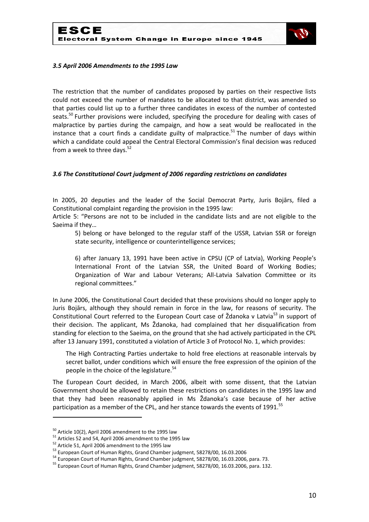

#### *3.5 April 2006 Amendments to the 1995 Law*

The restriction that the number of candidates proposed by parties on their respective lists could not exceed the number of mandates to be allocated to that district, was amended so that parties could list up to a further three candidates in excess of the number of contested seats.<sup>50</sup> Further provisions were included, specifying the procedure for dealing with cases of malpractice by parties during the campaign, and how a seat would be reallocated in the instance that a court finds a candidate guilty of malpractice.<sup>51</sup> The number of days within which a candidate could appeal the Central Electoral Commission's final decision was reduced from a week to three days. $52$ 

#### *3.6 The Constitutional Court judgment of 2006 regarding restrictions on candidates*

In 2005, 20 deputies and the leader of the Social Democrat Party, Juris Bojārs, filed a Constitutional complaint regarding the provision in the 1995 law:

Article 5: "Persons are not to be included in the candidate lists and are not eligible to the Saeima if they…

5) belong or have belonged to the regular staff of the USSR, Latvian SSR or foreign state security, intelligence or counterintelligence services;

6) after January 13, 1991 have been active in CPSU (CP of Latvia), Working People's International Front of the Latvian SSR, the United Board of Working Bodies; Organization of War and Labour Veterans; All-Latvia Salvation Committee or its regional committees."

In June 2006, the Constitutional Court decided that these provisions should no longer apply to Juris Bojārs, although they should remain in force in the law, for reasons of security. The Constitutional Court referred to the European Court case of  $\check{Z}$ danoka v Latvia<sup>53</sup> in support of their decision. The applicant, Ms Ždanoka, had complained that her disqualification from standing for election to the Saeima, on the ground that she had actively participated in the CPL after 13 January 1991, constituted a violation of Article 3 of Protocol No. 1, which provides:

The High Contracting Parties undertake to hold free elections at reasonable intervals by secret ballot, under conditions which will ensure the free expression of the opinion of the people in the choice of the legislature.<sup>54</sup>

The European Court decided, in March 2006, albeit with some dissent, that the Latvian Government should be allowed to retain these restrictions on candidates in the 1995 law and that they had been reasonably applied in Ms Ždanoka's case because of her active participation as a member of the CPL, and her stance towards the events of 1991.<sup>55</sup>

<sup>&</sup>lt;sup>50</sup> Article 10(2), April 2006 amendment to the 1995 law

 $51$  Articles 52 and 54, April 2006 amendment to the 1995 law

<sup>&</sup>lt;sup>52</sup> Article 51, April 2006 amendment to the 1995 law

<sup>53</sup> European Court of Human Rights, Grand Chamber judgment, 58278/00, 16.03.2006

<sup>54</sup> European Court of Human Rights, Grand Chamber judgment, 58278/00, 16.03.2006, para. 73.

<sup>55</sup> European Court of Human Rights, Grand Chamber judgment, 58278/00, 16.03.2006, para. 132.